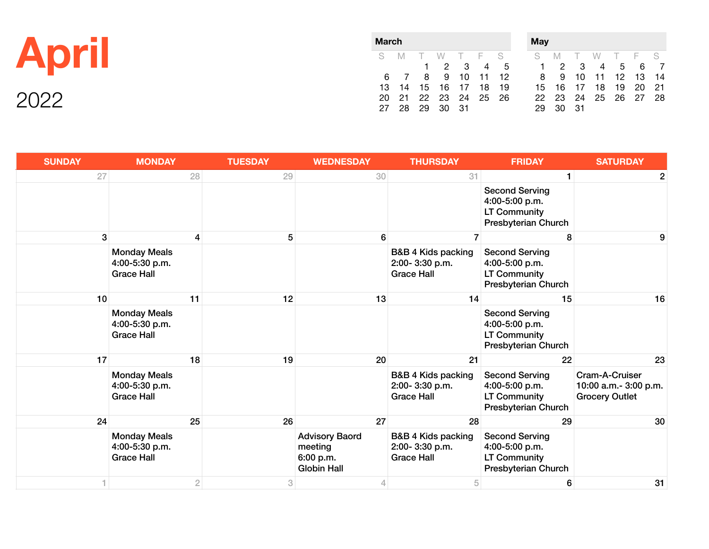|                      | <b>March</b> |  |  |                      |  |  |                      | <b>May</b>                                                  |          |  |  |                      |  |  |
|----------------------|--------------|--|--|----------------------|--|--|----------------------|-------------------------------------------------------------|----------|--|--|----------------------|--|--|
| <b>April</b>         |              |  |  |                      |  |  | S M T W T F S        | S M T W T F S<br>1 2 3 4 5 1 2 3 4 5 6 7                    |          |  |  |                      |  |  |
|                      |              |  |  | 13 14 15 16 17 18 19 |  |  |                      | 6 7 8 9 10 11 12 8 9 10 11 12 13 14<br>15 16 17 18 19 20 21 |          |  |  |                      |  |  |
| $\cdot$ 2000 $\cdot$ |              |  |  | 27  28  29  30  31   |  |  | 20 21 22 23 24 25 26 |                                                             | 29 30 31 |  |  | 22 23 24 25 26 27 28 |  |  |

| <b>SUNDAY</b> | <b>MONDAY</b>                                              | <b>TUESDAY</b> | <b>WEDNESDAY</b>                                                    | <b>THURSDAY</b>                                                      | <b>FRIDAY</b>                                                                  | <b>SATURDAY</b>                                                  |
|---------------|------------------------------------------------------------|----------------|---------------------------------------------------------------------|----------------------------------------------------------------------|--------------------------------------------------------------------------------|------------------------------------------------------------------|
| 27            | 28                                                         | 29             | 30                                                                  | 31                                                                   | $\mathbf{1}$                                                                   | 2                                                                |
|               |                                                            |                |                                                                     |                                                                      | <b>Second Serving</b><br>4:00-5:00 p.m.<br>LT Community<br>Presbyterian Church |                                                                  |
| 3             | 4                                                          | 5              | 6                                                                   | 7                                                                    | 8                                                                              | 9                                                                |
|               | <b>Monday Meals</b><br>4:00-5:30 p.m.<br><b>Grace Hall</b> |                |                                                                     | <b>B&amp;B 4 Kids packing</b><br>2:00-3:30 p.m.<br><b>Grace Hall</b> | <b>Second Serving</b><br>4:00-5:00 p.m.<br>LT Community<br>Presbyterian Church |                                                                  |
| 10            | 11                                                         | 12             | 13                                                                  | 14                                                                   | 15                                                                             | 16                                                               |
|               | <b>Monday Meals</b><br>4:00-5:30 p.m.<br><b>Grace Hall</b> |                |                                                                     |                                                                      | <b>Second Serving</b><br>4:00-5:00 p.m.<br>LT Community<br>Presbyterian Church |                                                                  |
| 17            | 18                                                         | 19             | 20                                                                  | 21                                                                   | 22                                                                             | 23                                                               |
|               | <b>Monday Meals</b><br>4:00-5:30 p.m.<br><b>Grace Hall</b> |                |                                                                     | <b>B&amp;B 4 Kids packing</b><br>2:00-3:30 p.m.<br><b>Grace Hall</b> | <b>Second Serving</b><br>4:00-5:00 p.m.<br>LT Community<br>Presbyterian Church | Cram-A-Cruiser<br>10:00 a.m.- 3:00 p.m.<br><b>Grocery Outlet</b> |
| 24            | 25                                                         | 26             | 27                                                                  | 28                                                                   | 29                                                                             | 30                                                               |
|               | <b>Monday Meals</b><br>4:00-5:30 p.m.<br><b>Grace Hall</b> |                | <b>Advisory Baord</b><br>meeting<br>6:00 p.m.<br><b>Globin Hall</b> | B&B 4 Kids packing<br>2:00-3:30 p.m.<br><b>Grace Hall</b>            | <b>Second Serving</b><br>4:00-5:00 p.m.<br>LT Community<br>Presbyterian Church |                                                                  |
|               | $\overline{2}$                                             | 3              | 4                                                                   | 5                                                                    | 6                                                                              | 31                                                               |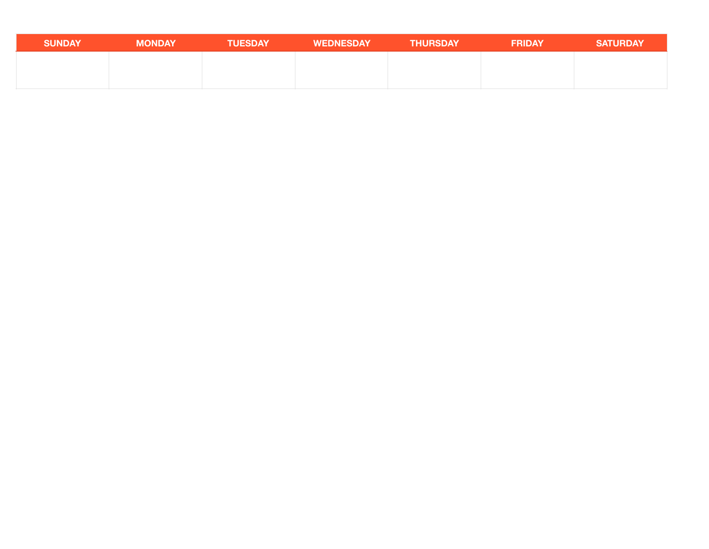| <b>SUNDAY</b> | <b>MONDAY</b> | <b>TUESDAY</b> | <b>WEDNESDAY</b> | <b>THURSDAY</b> | <b>FRIDAY</b> | <b>SATURDAY</b> |
|---------------|---------------|----------------|------------------|-----------------|---------------|-----------------|
|               |               |                |                  |                 |               |                 |
|               |               |                |                  |                 |               |                 |
|               |               |                |                  |                 |               |                 |